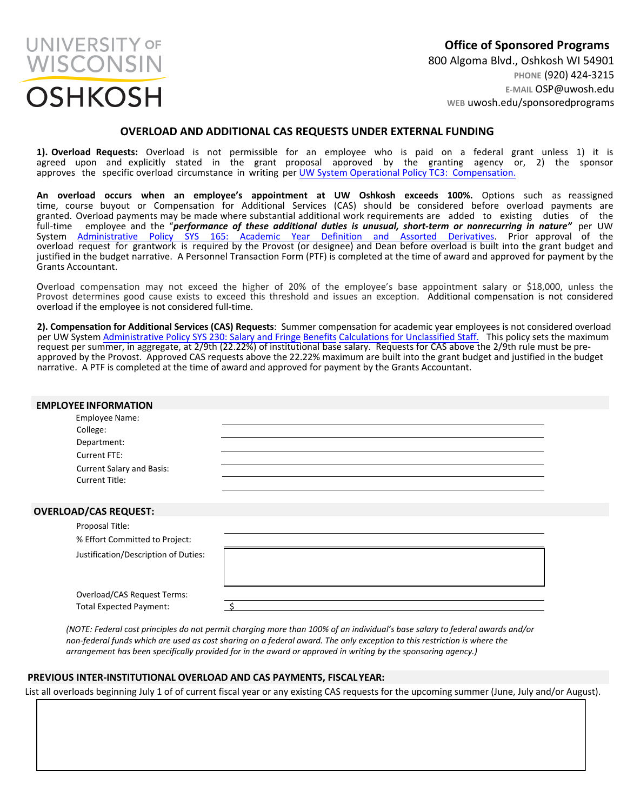

**Office of Sponsored Programs** 800 Algoma Blvd., Oshkosh WI 54901 **PHONE** (920) 424-3215 **E-MAIL** OSP@uwosh.edu **WEB** uwosh.edu/sponsoredprograms

## **OVERLOAD AND ADDITIONAL CAS REQUESTS UNDER EXTERNAL FUNDING**

**1). Overload Requests:** Overload is not permissible for an employee who is paid on a federal grant unless 1) it is agreed upon and explicitly stated in the grant proposal approved by the granting agency or, 2) the sponsor approves the specific overload circumstance in writing per [UW System Operational Policy TC3: Compensation.](https://www.wisconsin.edu/ohrwd/download/policies/ops/tc3.pdf)

**An overload occurs when an employee's appointment at UW Oshkosh exceeds 100%.** Options such as reassigned time, course buyout or [Compensation](https://www.wisconsin.edu/uw-policies/uw-system-administrative-policies/academic-year-definition-and-assorted-derivatives/) for Additional Services (CAS) should be considered before overload payments are granted. Overload payments may be made where substantial additional work requirements are added to existing duties of the full-time employee and the "*performance of these additional duties is unusual, short-term or nonrecurring in nature"* per UW System Administrative Policy SYS 165: Academic Year Definition and Assorted Derivatives. Prior approval of the overload request for grantwork is required by the Provost (or designee) and Dean before overload is built into the grant budget and justified in the budget narrative. A Personnel Transaction Form (PTF) is completed at the time of award and approved for payment by the Grants Accountant.

Overload compensation may not exceed the higher of 20% of the employee's base appointment salary or \$18,000, unless the Provost determines good cause exists to exceed this threshold and issues an exception. Additional compensation is not considered overload if the employee is not considered full-time.

**2). Compensation for Additional Services (CAS) Requests**: Summer compensation for academic year employees is not considered overload per UW System [Administrative Policy](https://www.wisconsin.edu/uw-policies/uw-system-administrative-policies/salary-fringe-benefit-calculations-for-unclassified-staff/) SYS 230: Salary and Fringe Benefits Calculations for Unclassified Staff. This policy [sets the maximum](https://www.wisconsin.edu/uw-policies/uw-system-administrative-policies/salary-fringe-benefit-calculations-for-unclassified-staff/)  request [per summer, in aggregate](https://www.wisconsin.edu/uw-policies/uw-system-administrative-policies/salary-fringe-benefit-calculations-for-unclassified-staff/), at 2/9th (22.22%) of institutional base salary. Requests for CAS above the 2/9th rule must be preapproved by the Provost. Approved CAS requests above the 22.22% maximum are built into the grant budget and justified in the budget narrative. A PTF is completed at the time of award and approved for payment by the Grants Accountant.

| <b>EMPLOYEE INFORMATION</b>                                                                                                   |  |
|-------------------------------------------------------------------------------------------------------------------------------|--|
| Employee Name:<br>College:<br>Department:<br><b>Current FTE:</b><br><b>Current Salary and Basis:</b><br><b>Current Title:</b> |  |
| <b>OVERLOAD/CAS REQUEST:</b>                                                                                                  |  |
| Proposal Title:<br>% Effort Committed to Project:                                                                             |  |
| Justification/Description of Duties:<br>Overload/CAS Request Terms:                                                           |  |
| <b>Total Expected Payment:</b>                                                                                                |  |

*(NOTE: Federal cost principles do not permit charging more than 100% of an individual's base salary to federal awards and/or non-federal funds which are used as cost sharing on a federal award. The only exception to this restriction is where the arrangement has been specifically provided for in the award or approved in writing by the sponsoring agency.)*

## **PREVIOUS INTER-INSTITUTIONAL OVERLOAD AND CAS PAYMENTS, FISCALYEAR:**

List all overloads beginning July 1 of of current fiscal year or any existing CAS requests for the upcoming summer (June, July and/or August).